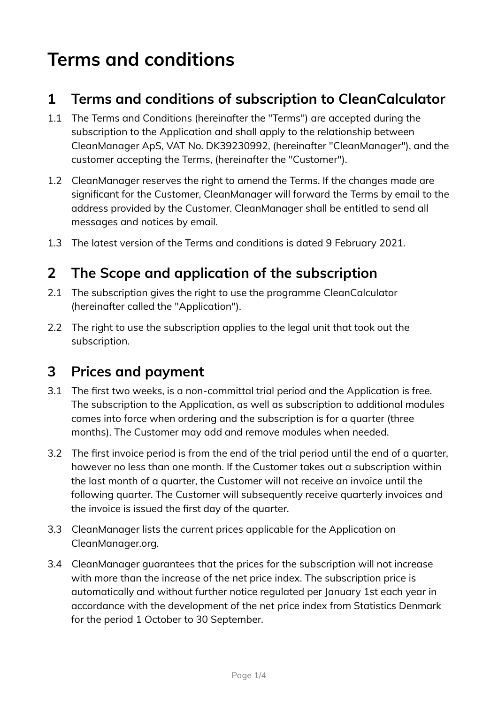# **Terms and conditions**

#### **1 Terms and conditions of subscription to CleanCalculator**

- 1.1 The Terms and Conditions (hereinafter the "Terms") are accepted during the subscription to the Application and shall apply to the relationship between CleanManager ApS, VAT No. DK39230992, (hereinafter "CleanManager"), and the customer accepting the Terms, (hereinafter the "Customer").
- 1.2 CleanManager reserves the right to amend the Terms. If the changes made are significant for the Customer, CleanManager will forward the Terms by email to the address provided by the Customer. CleanManager shall be entitled to send all messages and notices by email.
- 1.3 The latest version of the Terms and conditions is dated 9 February 2021.

#### **2 The Scope and application of the subscription**

- 2.1 The subscription gives the right to use the programme CleanCalculator (hereinafter called the "Application").
- 2.2 The right to use the subscription applies to the legal unit that took out the subscription.

#### **3 Prices and payment**

- 3.1 The first two weeks, is a non-committal trial period and the Application is free. The subscription to the Application, as well as subscription to additional modules comes into force when ordering and the subscription is for a quarter (three months). The Customer may add and remove modules when needed.
- 3.2 The first invoice period is from the end of the trial period until the end of a quarter, however no less than one month. If the Customer takes out a subscription within the last month of a quarter, the Customer will not receive an invoice until the following quarter. The Customer will subsequently receive quarterly invoices and the invoice is issued the first day of the quarter.
- 3.3 CleanManager lists the current prices applicable for the Application on CleanManager.org.
- 3.4 CleanManager guarantees that the prices for the subscription will not increase with more than the increase of the net price index. The subscription price is automatically and without further notice regulated per January 1st each year in accordance with the development of the net price index from Statistics Denmark for the period 1 October to 30 September.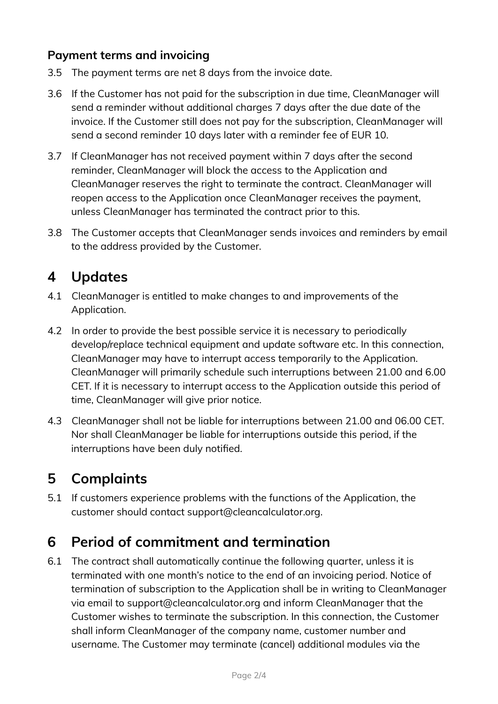#### **Payment terms and invoicing**

- 3.5 The payment terms are net 8 days from the invoice date.
- 3.6 If the Customer has not paid for the subscription in due time, CleanManager will send a reminder without additional charges 7 days after the due date of the invoice. If the Customer still does not pay for the subscription, CleanManager will send a second reminder 10 days later with a reminder fee of EUR 10.
- 3.7 If CleanManager has not received payment within 7 days after the second reminder, CleanManager will block the access to the Application and CleanManager reserves the right to terminate the contract. CleanManager will reopen access to the Application once CleanManager receives the payment, unless CleanManager has terminated the contract prior to this.
- 3.8 The Customer accepts that CleanManager sends invoices and reminders by email to the address provided by the Customer.

#### **4 Updates**

- 4.1 CleanManager is entitled to make changes to and improvements of the Application.
- 4.2 In order to provide the best possible service it is necessary to periodically develop/replace technical equipment and update software etc. In this connection, CleanManager may have to interrupt access temporarily to the Application. CleanManager will primarily schedule such interruptions between 21.00 and 6.00 CET. If it is necessary to interrupt access to the Application outside this period of time, CleanManager will give prior notice.
- 4.3 CleanManager shall not be liable for interruptions between 21.00 and 06.00 CET. Nor shall CleanManager be liable for interruptions outside this period, if the interruptions have been duly notified.

## **5 Complaints**

5.1 If customers experience problems with the functions of the Application, the customer should contact support@cleancalculator.org.

#### **6 Period of commitment and termination**

6.1 The contract shall automatically continue the following quarter, unless it is terminated with one month's notice to the end of an invoicing period. Notice of termination of subscription to the Application shall be in writing to CleanManager via email to support@cleancalculator.org and inform CleanManager that the Customer wishes to terminate the subscription. In this connection, the Customer shall inform CleanManager of the company name, customer number and username. The Customer may terminate (cancel) additional modules via the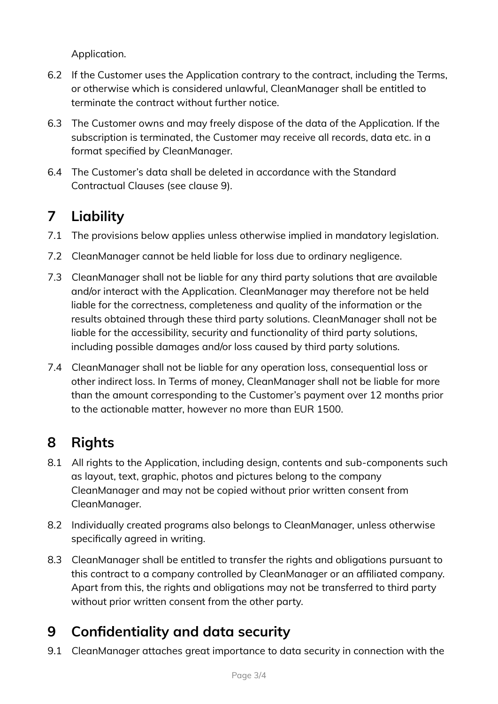Application.

- 6.2 If the Customer uses the Application contrary to the contract, including the Terms, or otherwise which is considered unlawful, CleanManager shall be entitled to terminate the contract without further notice.
- 6.3 The Customer owns and may freely dispose of the data of the Application. If the subscription is terminated, the Customer may receive all records, data etc. in a format specified by CleanManager.
- 6.4 The Customer's data shall be deleted in accordance with the Standard Contractual Clauses (see clause 9).

# **7 Liability**

- 7.1 The provisions below applies unless otherwise implied in mandatory legislation.
- 7.2 CleanManager cannot be held liable for loss due to ordinary negligence.
- 7.3 CleanManager shall not be liable for any third party solutions that are available and/or interact with the Application. CleanManager may therefore not be held liable for the correctness, completeness and quality of the information or the results obtained through these third party solutions. CleanManager shall not be liable for the accessibility, security and functionality of third party solutions, including possible damages and/or loss caused by third party solutions.
- 7.4 CleanManager shall not be liable for any operation loss, consequential loss or other indirect loss. In Terms of money, CleanManager shall not be liable for more than the amount corresponding to the Customer's payment over 12 months prior to the actionable matter, however no more than EUR 1500.

# **8 Rights**

- 8.1 All rights to the Application, including design, contents and sub-components such as layout, text, graphic, photos and pictures belong to the company CleanManager and may not be copied without prior written consent from CleanManager.
- 8.2 Individually created programs also belongs to CleanManager, unless otherwise specifically agreed in writing.
- 8.3 CleanManager shall be entitled to transfer the rights and obligations pursuant to this contract to a company controlled by CleanManager or an affiliated company. Apart from this, the rights and obligations may not be transferred to third party without prior written consent from the other party.

# **9 Confidentiality and data security**

9.1 CleanManager attaches great importance to data security in connection with the